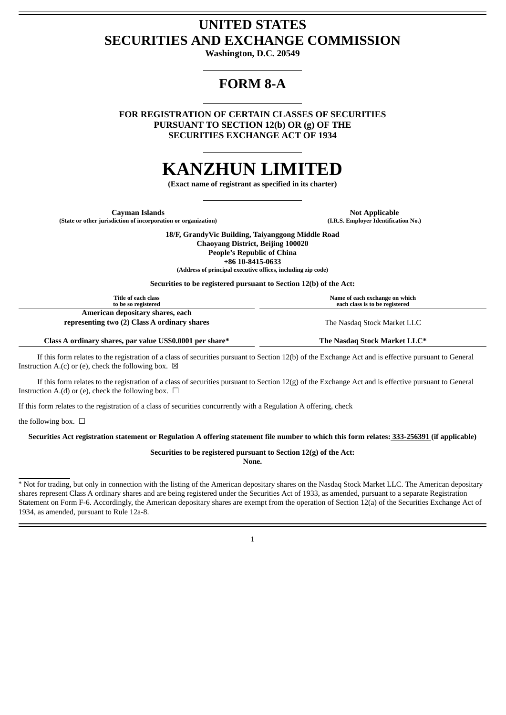## **UNITED STATES SECURITIES AND EXCHANGE COMMISSION**

**Washington, D.C. 20549**

# **FORM 8-A**

**FOR REGISTRATION OF CERTAIN CLASSES OF SECURITIES PURSUANT TO SECTION 12(b) OR (g) OF THE SECURITIES EXCHANGE ACT OF 1934**

# **KANZHUN LIMITED**

**(Exact name of registrant as specified in its charter)**

**Cayman Islands Not Applicable (State or other jurisdiction of incorporation or organization) (I.R.S. Employer Identification No.)**

**18/F, GrandyVic Building, Taiyanggong Middle Road Chaoyang District, Beijing 100020 People's Republic of China +86 10-8415-0633**

**(Address of principal executive offices, including zip code)**

**Securities to be registered pursuant to Section 12(b) of the Act:**

| Title of each class                                                              | Name of each exchange on which |
|----------------------------------------------------------------------------------|--------------------------------|
| to be so registered                                                              | each class is to be registered |
| American depositary shares, each<br>representing two (2) Class A ordinary shares | The Nasdag Stock Market LLC    |

**Class A ordinary shares, par value US\$0.0001 per share\* The Nasdaq Stock Market LLC\***

If this form relates to the registration of a class of securities pursuant to Section 12(b) of the Exchange Act and is effective pursuant to General Instruction A.(c) or (e), check the following box.  $\boxtimes$ 

If this form relates to the registration of a class of securities pursuant to Section 12(g) of the Exchange Act and is effective pursuant to General Instruction A.(d) or (e), check the following box.  $\Box$ 

If this form relates to the registration of a class of securities concurrently with a Regulation A offering, check

the following box.  $\Box$ 

Securities Act registration statement or Regulation A offering statement file number to which this form relates: 333-256391 (if applicable)

**Securities to be registered pursuant to Section 12(g) of the Act:**

**None.**

\* Not for trading, but only in connection with the listing of the American depositary shares on the Nasdaq Stock Market LLC. The American depositary shares represent Class A ordinary shares and are being registered under the Securities Act of 1933, as amended, pursuant to a separate Registration Statement on Form F-6. Accordingly, the American depositary shares are exempt from the operation of Section 12(a) of the Securities Exchange Act of 1934, as amended, pursuant to Rule 12a-8.

1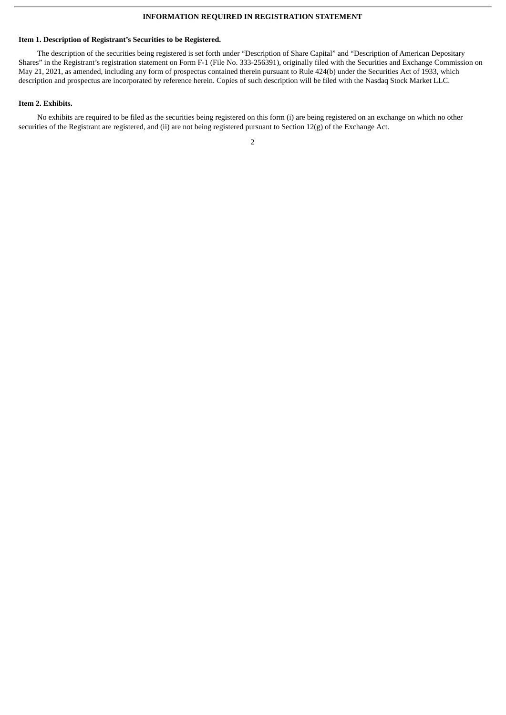### **INFORMATION REQUIRED IN REGISTRATION STATEMENT**

#### **Item 1. Description of Registrant's Securities to be Registered.**

The description of the securities being registered is set forth under "Description of Share Capital" and "Description of American Depositary Shares" in the Registrant's registration statement on Form F-1 (File No. 333-256391), originally filed with the Securities and Exchange Commission on May 21, 2021, as amended, including any form of prospectus contained therein pursuant to Rule 424(b) under the Securities Act of 1933, which description and prospectus are incorporated by reference herein. Copies of such description will be filed with the Nasdaq Stock Market LLC.

#### **Item 2. Exhibits.**

No exhibits are required to be filed as the securities being registered on this form (i) are being registered on an exchange on which no other securities of the Registrant are registered, and (ii) are not being registered pursuant to Section 12(g) of the Exchange Act.